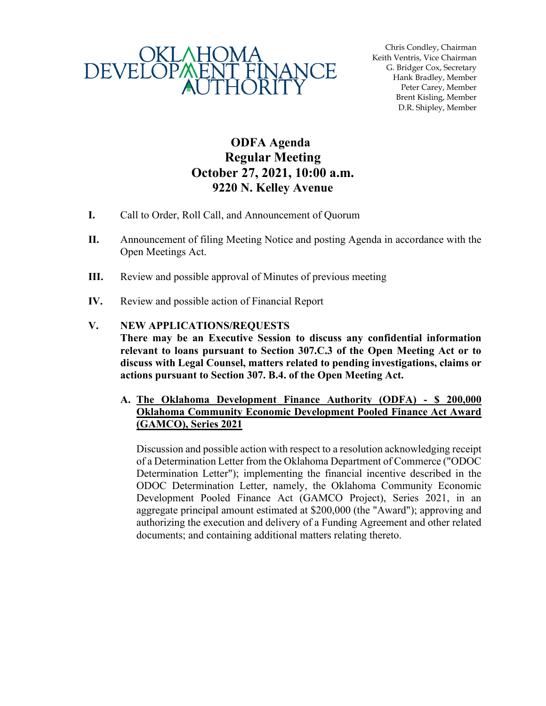

Chris Condley, Chairman Keith Ventris, Vice Chairman G. Bridger Cox, Secretary Hank Bradley, Member Peter Carey, Member Brent Kisling, Member D.R. Shipley, Member

## **ODFA Agenda Regular Meeting October 27, 2021, 10:00 a.m. 9220 N. Kelley Avenue**

- **I.** Call to Order, Roll Call, and Announcement of Quorum
- **II.** Announcement of filing Meeting Notice and posting Agenda in accordance with the Open Meetings Act.
- **III.** Review and possible approval of Minutes of previous meeting
- **IV.** Review and possible action of Financial Report

## **V. NEW APPLICATIONS/REQUESTS**

**There may be an Executive Session to discuss any confidential information relevant to loans pursuant to Section 307.C.3 of the Open Meeting Act or to discuss with Legal Counsel, matters related to pending investigations, claims or actions pursuant to Section 307. B.4. of the Open Meeting Act.**

## **A. The Oklahoma Development Finance Authority (ODFA) - \$ 200,000 Oklahoma Community Economic Development Pooled Finance Act Award (GAMCO), Series 2021**

Discussion and possible action with respect to a resolution acknowledging receipt of a Determination Letter from the Oklahoma Department of Commerce ("ODOC Determination Letter"); implementing the financial incentive described in the ODOC Determination Letter, namely, the Oklahoma Community Economic Development Pooled Finance Act (GAMCO Project), Series 2021, in an aggregate principal amount estimated at \$200,000 (the "Award"); approving and authorizing the execution and delivery of a Funding Agreement and other related documents; and containing additional matters relating thereto.